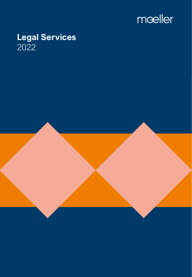

# **Legal Services** 2022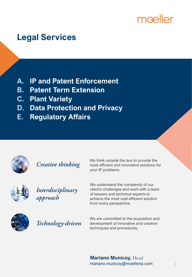# mæller

# **Legal Services**

- **A. IP and Patent Enforcement**
- **B. Patent Term Extension**
- **C. Plant Variety**
- **D. Data Protection and Privacy**
- **E. Regulatory Affairs**



**Creative thinking** 

We think outside the box to provide the most efficient and innovative solutions for your IP problems.



Interdisciplinary approach

We understand the complexity of our client's challenges and work with a team of lawyers and technical experts to achieve the most cost-efficient solution from every perspective.



Technology-driven

We are committed to the acquisition and development of innovative and creative techniques and procedures.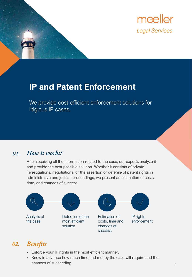

## **IP and Patent Enforcement**

We provide cost-efficient enforcement solutions for litigious IP cases.

#### How it works? 01.

After receiving all the information related to the case, our experts analyze it and provide the best possible solution. Whether it consists of private investigations, negotiations, or the assertion or defense of patent rights in administrative and judicial proceedings, we present an estimation of costs, time, and chances of success.



### 02. Benefits

- Enforce your IP rights in the most efficient manner.
- Know in advance how much time and money the case will require and the chances of succeeding.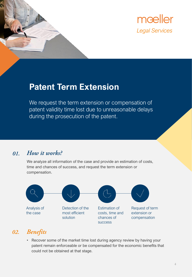

### **Patent Term Extension**

We request the term extension or compensation of patent validity time lost due to unreasonable delays during the prosecution of the patent.

#### How it works? 01.

We analyze all information of the case and provide an estimation of costs, time and chances of success, and request the term extension or compensation.



#### **Benefits**  $\overline{02}$ .

• Recover some of the market time lost during agency review by having your patent remain enforceable or be compensated for the economic benefits that could not be obtained at that stage.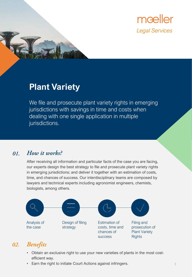

### **Plant Variety**

We file and prosecute plant variety rights in emerging jurisdictions with savings in time and costs when dealing with one single application in multiple jurisdictions.

#### How it works? 01.

After receiving all information and particular facts of the case you are facing, our experts design the best strategy to file and prosecute plant variety rights in emerging jurisdictions; and deliver it together with an estimation of costs, time, and chances of success. Our interdisciplinary teams are composed by lawyers and technical experts including agronomist engineers, chemists, biologists, among others.



#### 02. **Benefits**

- Obtain an exclusive right to use your new varieties of plants in the most costefficient way.
- Earn the right to initiate Court Actions against infringers.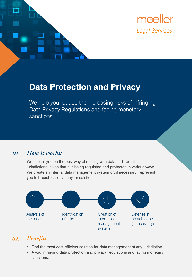

### **Data Protection and Privacy**

We help you reduce the increasing risks of infringing Data Privacy Regulations and facing monetary sanctions.

#### How it works? 01.

We assess you on the best way of dealing with data in different jurisdictions, given that it is being regulated and protected in various ways. We create an internal data management system or, if necessary, represent you in breach cases at any jurisdiction.



#### **Benefits** 02.

- Find the most cost-efficient solution for data management at any jurisdiction.
- Avoid infringing data protection and privacy regulations and facing monetary sanctions.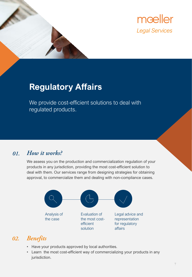

# **Regulatory Affairs**

We provide cost-efficient solutions to deal with regulated products.

#### How it works? 01.

We assess you on the production and commercialization regulation of your products in any jurisdiction, providing the most cost-efficient solution to deal with them. Our services range from designing strategies for obtaining approval, to commercialize them and dealing with non-compliance cases.



### 02. Benefits

- Have your products approved by local authorities.
- Learn the most cost-efficient way of commercializing your products in any jurisdiction.